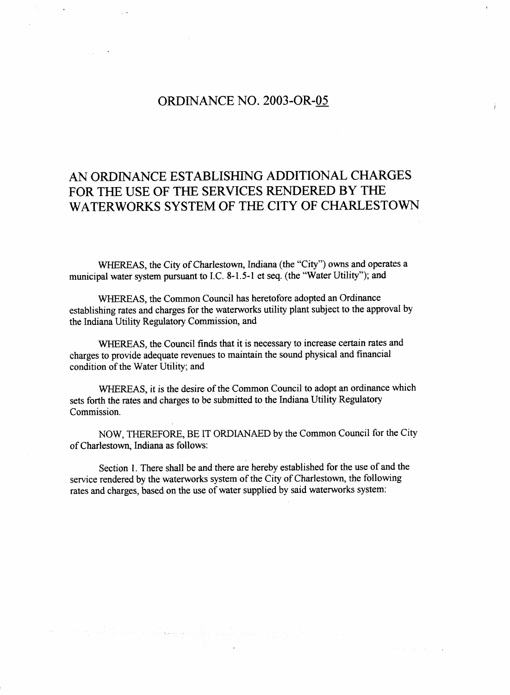### ORDINANCE NO. 2003-0R-05

# <span id="page-0-0"></span>**AN** ORDINANCE ESTABLISHING ADDITIONAL CHARGES FOR THE **USE** OF THE **SERVICES** RENDERED BY THE WATERWORKS SYSTEM OF THE CITY OF CHARLESTOWN

WHEREAS, the City of Charlestown, Indiana (the "City") **owns** and operates a municipal water system pursuant to I.C. **8-** 1.5- 1 et **seq.** (the "Water Utility"); and

**WHEREAS,** the Common Council has heretofore adopted an Ordinance establishing rates and charges for the waterworks utility plant subject to the approval by the Indiana Utility Regulatory Commission, **and** 

**WHEREAS,** the Council finds that it is necessary to increase certain rates and charges to provide adequate revenues to maintain the sound physical and financial condition of the Water Utility; and

WHEREAS, it **is** the desire of the Common Council to adopt **an** ordinance which sets forth the rates and charges to be submitted to the Indiana Utility Regulatory Commission.

NOW, THEREFORE, BE IT ORDIANAED by the Common Council for the City of Charlestown, **Indiana** as follows:

Section 1. There shall **be** and there are hereby established for the use of and the service rendered by the waterworks system of the City of Charlestown, the following rates and charges, based on the **use** of water supplied by said waterworks system:

in and the state of the state of the state of the state of the state of the state of the state of the state of<br>The state of the state of the state of the state of the state of the state of the state of the state of the st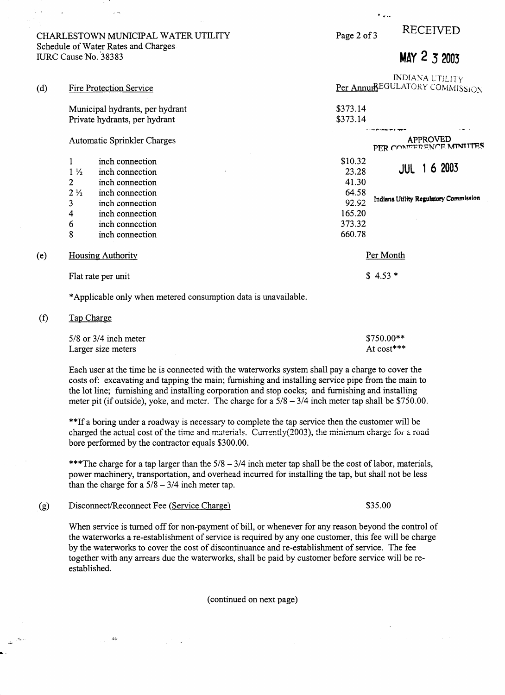<span id="page-1-0"></span>CHARLESTOWN MUNICIPAL WATER UTILITY Page 2 of 3 RECEIVED Schedule of Water Rates and Charges<br>IURC Cause No. 38383

 $-45$ 

**a** 

## lURC Cause No. '38383 **MAY** 2 **3 2003**

| (d) |                                                                | <b>Fire Protection Service</b>  |                                                                               | <b>INDIANA UTILITY</b><br>Per Annum EGULATORY COMMISSION |  |
|-----|----------------------------------------------------------------|---------------------------------|-------------------------------------------------------------------------------|----------------------------------------------------------|--|
|     |                                                                | Municipal hydrants, per hydrant | \$373.14                                                                      |                                                          |  |
|     |                                                                | Private hydrants, per hydrant   | \$373.14                                                                      |                                                          |  |
|     | <b>Automatic Sprinkler Charges</b>                             |                                 | به بینید. دو خودبیوارهیدهای در د<br><b>APPROVED</b><br>PER CONFIDENCE MINITES |                                                          |  |
|     |                                                                | inch connection                 | \$10.32                                                                       |                                                          |  |
|     | $1\frac{1}{2}$                                                 | inch connection                 | 23.28                                                                         | 1 6 2003<br>JUL                                          |  |
|     | 2                                                              | inch connection                 | 41.30                                                                         |                                                          |  |
|     | $2\frac{1}{2}$                                                 | inch connection                 | 64.58                                                                         |                                                          |  |
|     | 3                                                              | inch connection                 | 92.92                                                                         | Indiana Utility Regulatory Commission                    |  |
|     | 4                                                              | inch connection                 | 165.20                                                                        |                                                          |  |
|     | 6                                                              | inch connection                 | 373.32                                                                        |                                                          |  |
|     | 8                                                              | inch connection                 | 660.78                                                                        |                                                          |  |
| (e) | <b>Housing Authority</b>                                       |                                 |                                                                               | Per Month                                                |  |
|     | Flat rate per unit                                             |                                 |                                                                               | $$4.53*$                                                 |  |
|     | *Applicable only when metered consumption data is unavailable. |                                 |                                                                               |                                                          |  |

*(f)* Tap Charge

 $\mathcal{R}_{\bullet}$  .

| $5/8$ or $3/4$ inch meter | $$750.00**$ |
|---------------------------|-------------|
| Larger size meters        | At cost***  |

Each user at the time he is connected with the waterworks system shall pay a charge to cover the costs of: excavating and tapping the main; furnishing and installing service pipe from the main to the lot line; furnishing and installing corporation and stop cocks; and furnishing and installing meter pit (if outside), yoke, and meter. The charge for a  $5/8 - 3/4$  inch meter tap shall be \$750.00.

\*\*If a boring under a roadway is necessary to complete the tap service then the customer will be charged the actual cost of the time and materials CurrentIy(2003), *the* minimum charge for a road bore performed by the contractor equals \$300.00.

\*\*\*The charge for a tap larger than the  $5/8 - 3/4$  inch meter tap shall be the cost of labor, materials, power machinery, transportation, and overhead incurred for installing the tap, but shall not be less than the charge for a  $5/8 - 3/4$  inch meter tap.

(g) Disconnect/Reconnect Fee (Service Charge) \$35.00

 $\mathcal{A}_{\mathcal{A}}$ 

When service is turned off for non-payment of bill, or whenever for any reason beyond the control of the waterworks a re-establishment of service is required by any one customer, this fee will be charge by the waterworks to cover the cost of discontinuance and re-establishment of service. The fee together with any arrears due the waterworks, shall be paid by customer before service will be reestablished.

(continued on next page)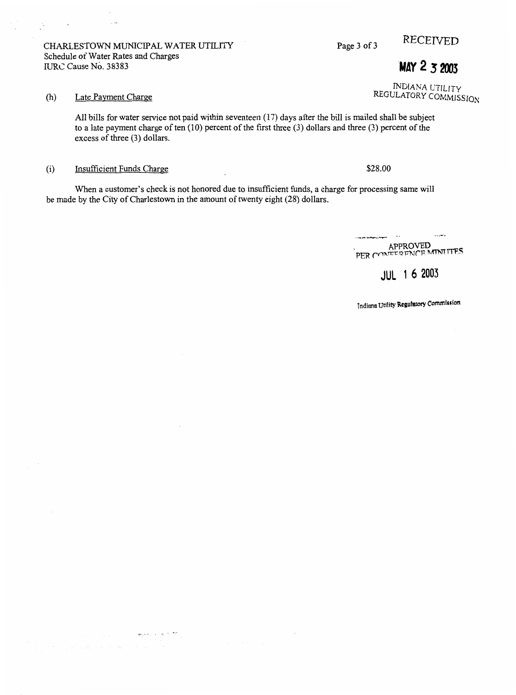**INDIANA UTILITY** (h) Late Payment Charge *REGULATORY COMMISSION* 

All bills for water service not paid within seventeen (17) days after the bill is mailed shall be subject to a late payment charge of ten (10) percent of the first three (3) dollars and three (3) percent of the

When a customer's check is not honored due to insufficient funds, a charge for processing same will be made by the City of Charlestown in the amount of twenty eight (28) dollars.

> $\sim$ APPROVED PER CONFERENCE **MINUTES**

> > JUL 1 **6 2005**

**Indiana Utility Regulatory Commission** 

CHARLESTOWN MUNICIPAL WATER UTILITY [Page 3 of 3](#page-1-0) RECEIVED Schedule of Water Rates and Charges **IURC Cause No. [3](#page-1-0)8383 [MAY](#page-0-0) 2 3 2003** 

مدير

 $\frac{1}{2} \sum_{i=1}^n \frac{1}{2} \left( \frac{1}{2} \sum_{i=1}^n \frac{1}{2} \right)^2$ 

excess of three (3) dollars.

.<br>Ngjarjev i nasta 1987

.<br>De verske politiker i de statske statske politiker i den statske statske statske statske statske statske stats

(i) Insufficient Funds Charge  $$28.00$